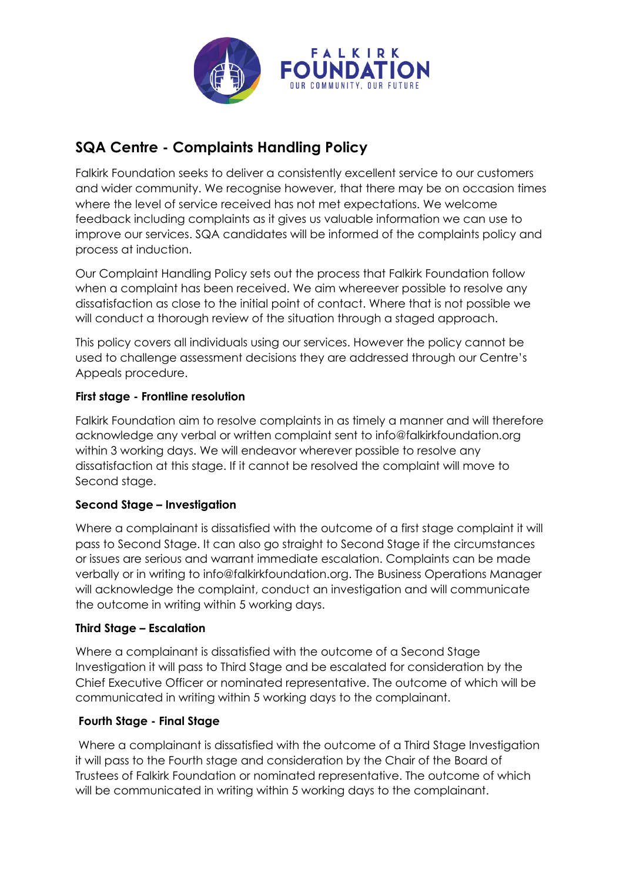

# **SQA Centre - Complaints Handling Policy**

Falkirk Foundation seeks to deliver a consistently excellent service to our customers and wider community. We recognise however, that there may be on occasion times where the level of service received has not met expectations. We welcome feedback including complaints as it gives us valuable information we can use to improve our services. SQA candidates will be informed of the complaints policy and process at induction.

Our Complaint Handling Policy sets out the process that Falkirk Foundation follow when a complaint has been received. We aim whereever possible to resolve any dissatisfaction as close to the initial point of contact. Where that is not possible we will conduct a thorough review of the situation through a staged approach.

This policy covers all individuals using our services. However the policy cannot be used to challenge assessment decisions they are addressed through our Centre's Appeals procedure.

## **First stage - Frontline resolution**

Falkirk Foundation aim to resolve complaints in as timely a manner and will therefore acknowledge any verbal or written complaint sent to info@falkirkfoundation.org within 3 working days. We will endeavor wherever possible to resolve any dissatisfaction at this stage. If it cannot be resolved the complaint will move to Second stage.

## **Second Stage – Investigation**

Where a complainant is dissatisfied with the outcome of a first stage complaint it will pass to Second Stage. It can also go straight to Second Stage if the circumstances or issues are serious and warrant immediate escalation. Complaints can be made verbally or in writing to info@falkirkfoundation.org. The Business Operations Manager will acknowledge the complaint, conduct an investigation and will communicate the outcome in writing within 5 working days.

## **Third Stage – Escalation**

Where a complainant is dissatisfied with the outcome of a Second Stage Investigation it will pass to Third Stage and be escalated for consideration by the Chief Executive Officer or nominated representative. The outcome of which will be communicated in writing within 5 working days to the complainant.

## **Fourth Stage - Final Stage**

Where a complainant is dissatisfied with the outcome of a Third Stage Investigation it will pass to the Fourth stage and consideration by the Chair of the Board of Trustees of Falkirk Foundation or nominated representative. The outcome of which will be communicated in writing within 5 working days to the complainant.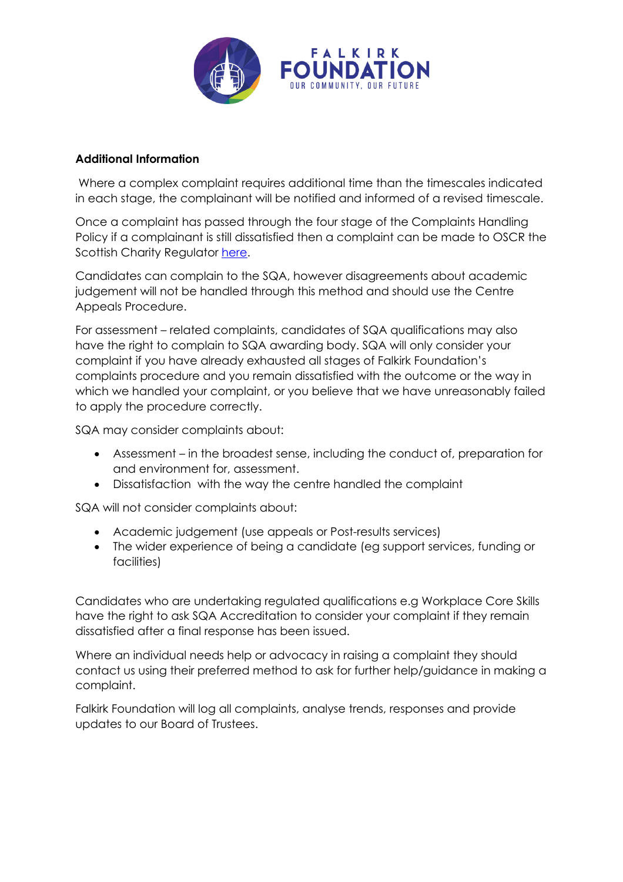

### **Additional Information**

Where a complex complaint requires additional time than the timescales indicated in each stage, the complainant will be notified and informed of a revised timescale.

Once a complaint has passed through the four stage of the Complaints Handling Policy if a complainant is still dissatisfied then a complaint can be made to OSCR the Scottish Charity Regulator here.

Candidates can complain to the SQA, however disagreements about academic judgement will not be handled through this method and should use the Centre Appeals Procedure.

For assessment – related complaints, candidates of SQA qualifications may also have the right to complain to SQA awarding body. SQA will only consider your complaint if you have already exhausted all stages of Falkirk Foundation's complaints procedure and you remain dissatisfied with the outcome or the way in which we handled your complaint, or you believe that we have unreasonably failed to apply the procedure correctly.

SQA may consider complaints about:

- Assessment in the broadest sense, including the conduct of, preparation for and environment for, assessment.
- Dissatisfaction with the way the centre handled the complaint

SQA will not consider complaints about:

- Academic judgement (use appeals or Post-results services)
- The wider experience of being a candidate (eg support services, funding or facilities)

Candidates who are undertaking regulated qualifications e.g Workplace Core Skills have the right to ask SQA Accreditation to consider your complaint if they remain dissatisfied after a final response has been issued.

Where an individual needs help or advocacy in raising a complaint they should contact us using their preferred method to ask for further help/guidance in making a complaint.

Falkirk Foundation will log all complaints, analyse trends, responses and provide updates to our Board of Trustees.